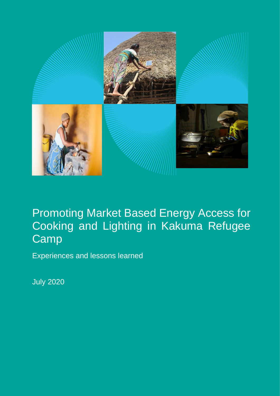

## Promoting Market Based Energy Access for Cooking and Lighting in Kakuma Refugee Camp

Experiences and lessons learned

July 2020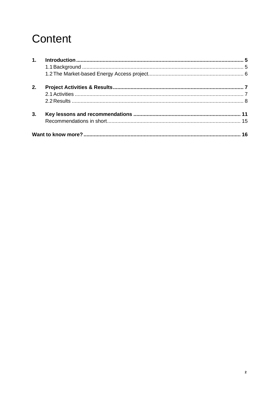# Content

| 1. |  |
|----|--|
|    |  |
|    |  |
| 2. |  |
|    |  |
|    |  |
| 3. |  |
|    |  |
|    |  |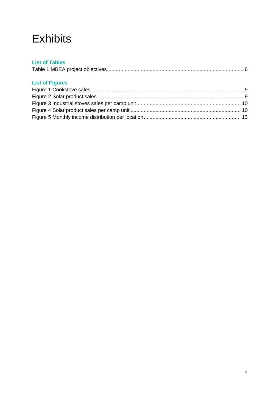## **Exhibits**

## **List of Tables**

|--|

## **List of Figures**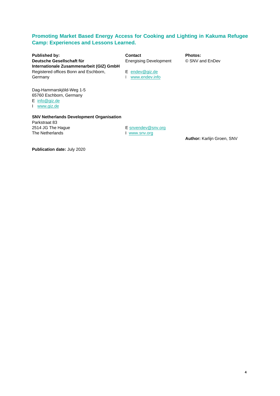## **Promoting Market Based Energy Access for Cooking and Lighting in Kakuma Refugee Camp: Experiences and Lessons Learned.**

**Published by: Contact Photos: Deutsche Gesellschaft für** Energising Development © SNV and EnDev **Internationale Zusammenarbeit (GIZ) GmbH** Registered offices Bonn and Eschborn, E [endev@giz.de](mailto:endev@giz.de) Germany **I** [www.endev.info](http://www.endev.info/)

Dag-Hammarskjöld-Weg 1-5 65760 Eschborn, Germany

E [info@giz.de](mailto:info@giz.de)

I [www.giz.de](http://www.giz.de/)

#### **SNV Netherlands Development Organisation**  Parkstraat 83 2514 JG The Hague

The Netherlands

E [snvendev@snv.org](mailto:snvendev@snv.org) I [www.snv.org](http://www.snv.org/) 

**Author:** Karlijn Groen, SNV

**Publication date:** July 2020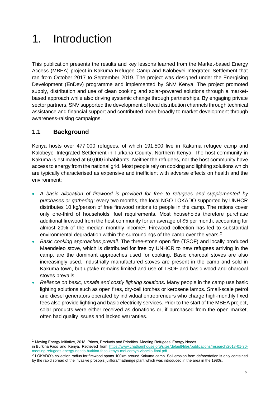# <span id="page-4-0"></span>1. Introduction

This publication presents the results and key lessons learned from the Market-based Energy Access (MBEA) project in Kakuma Refugee Camp and Kalobeyei Integrated Settlement that ran from October 2017 to September 2019. The project was designed under the Energising Development (EnDev) programme and implemented by SNV Kenya. The project promoted supply, distribution and use of clean cooking and solar-powered solutions through a marketbased approach while also driving systemic change through partnerships. By engaging private sector partners, SNV supported the development of local distribution channels through technical assistance and financial support and contributed more broadly to market development through awareness-raising campaigns.

## <span id="page-4-1"></span>**1.1 Background**

Kenya hosts over 477,000 refugees, of which 191,500 live in Kakuma refugee camp and Kalobeyei Integrated Settlement in Turkana County, Northern Kenya. The host community in Kakuma is estimated at 60,000 inhabitants. Neither the refugees, nor the host community have access to energy from the national grid. Most people rely on cooking and lighting solutions which are typically characterised as expensive and inefficient with adverse effects on health and the environment:

- *A basic allocation of firewood is provided for free to refugees and supplemented by purchases or gathering:* every two months, the local NGO LOKADO supported by UNHCR distributes 10 kg/person of free firewood rations to people in the camp. The rations cover only one-third of households' fuel requirements. Most households therefore purchase additional firewood from the host community for an average of \$5 per month, accounting for almost 20% of the median monthly income<sup>1</sup>. Firewood collection has led to substantial environmental degradation within the surroundings of the camp over the years.<sup>2</sup>
- *Basic cooking approaches prevail.* The three-stone open fire (TSOF) and locally produced Maendeleo stove, which is distributed for free by UNHCR to new refugees arriving in the camp, are the dominant approaches used for cooking. Basic charcoal stoves are also increasingly used. Industrially manufactured stoves are present in the camp and sold in Kakuma town, but uptake remains limited and use of TSOF and basic wood and charcoal stoves prevails.
- *Reliance on basic, unsafe and costly lighting solutions***.** Many people in the camp use basic lighting solutions such as open fires, dry-cell torches or kerosene lamps. Small-scale petrol and diesel generators operated by individual entrepreneurs who charge high-monthly fixed fees also provide lighting and basic electricity services. Prior to the start of the MBEA project, solar products were either received as donations or, if purchased from the open market, often had quality issues and lacked warranties.

<sup>1</sup> Moving Energy Initiative, 2018. Prices, Products and Priorities. Meeting Refugees' Energy Needs in Burkina Faso and Kenya. Retrieved from [https://www.chathamhouse.org/sites/default/files/publications/research/2018-01-30](https://www.chathamhouse.org/sites/default/files/publications/research/2018-01-30-meeting-refugees-energy-needs-burkina-faso-kenya-mei-corbyn-vianello-final.pdf) [meeting-refugees-energy-needs-burkina-faso-kenya-mei-corbyn-vianello-final.pdf](https://www.chathamhouse.org/sites/default/files/publications/research/2018-01-30-meeting-refugees-energy-needs-burkina-faso-kenya-mei-corbyn-vianello-final.pdf) .

<sup>&</sup>lt;sup>2</sup> LOKADO's collection radius for firewood spans 100km around Kakuma camp. Soil erosion from deforestation is only contained by the rapid spread of the invasive prosopis juliflora/mathenge plant which was introduced in the area in the 1980s.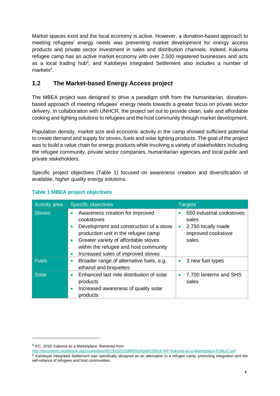Market spaces exist and the local economy is active. However, a donation-based approach to meeting refugees' energy needs was preventing market development for energy access products and private sector investment in sales and distribution channels. Indeed, Kakuma refugee camp has an active market economy with over 2,500 registered businesses and acts as a local trading hub<sup>3</sup>, and Kalobeyei Integrated Settlement also includes a number of markets<sup>4</sup>.

## <span id="page-5-0"></span>**1.2 The Market-based Energy Access project**

The MBEA project was designed to drive a paradigm shift from the humanitarian, donationbased approach of meeting refugees' energy needs towards a greater focus on private sector delivery. In collaboration with UNHCR, the project set out to provide clean, safe and affordable cooking and lighting solutions to refugees and the host community through market development.

Population density, market size and economic activity in the camp showed sufficient potential to create demand and supply for stoves, fuels and solar lighting products. The goal of the project was to build a value chain for energy products while involving a variety of stakeholders including the refugee community, private sector companies, humanitarian agencies and local public and private stakeholders.

Specific project objectives (Table 1) focused on awareness creation and diversification of available, higher quality energy solutions.

| <b>Activity area</b> | <b>Specific objectives</b>                                                                                                                                                                                                                                                                                 | <b>Targets</b>                                                                          |
|----------------------|------------------------------------------------------------------------------------------------------------------------------------------------------------------------------------------------------------------------------------------------------------------------------------------------------------|-----------------------------------------------------------------------------------------|
| <b>Stoves</b>        | Awareness creation for improved<br>$\bullet$<br>cookstoves<br>Development and construction of a stove<br>$\bullet$<br>production unit in the refugee camp<br>Greater variety of affordable stoves<br>$\bullet$<br>within the refugee and host community<br>Increased sales of improved stoves<br>$\bullet$ | 550 industrial cookstoves<br>sales<br>2,750 locally made<br>improved cookstove<br>sales |
| <b>Fuels</b>         | Broader range of alternative fuels, e.g.<br>٠<br>ethanol and briquettes                                                                                                                                                                                                                                    | 3 new fuel types                                                                        |
| <b>Solar</b>         | Enhanced last mile distribution of solar<br>$\bullet$<br>products<br>Increased awareness of quality solar<br>$\bullet$<br>products                                                                                                                                                                         | 7,700 lanterns and SHS<br>sales                                                         |

## **Table 1 MBEA project objectives**

 $3$  IFC, 2018. Kakuma as a Marketplace. Retrieved from

<http://documents.worldbank.org/curated/en/482761525339883916/pdf/125918-WP-Kakuma-as-a-Marketplace-PUBLIC.pdf>

<sup>&</sup>lt;sup>4</sup> Kalobeyei Integrated Settlement was specifically designed as an alternative to a refugee camp, promoting integration and the self-reliance of refugees and host communities.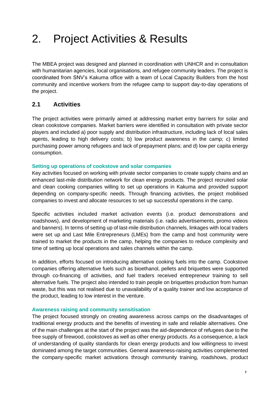## <span id="page-6-0"></span>2. Project Activities & Results

The MBEA project was designed and planned in coordination with UNHCR and in consultation with humanitarian agencies, local organisations, and refugee community leaders. The project is coordinated from SNV's Kakuma office with a team of Local Capacity Builders from the host community and incentive workers from the refugee camp to support day-to-day operations of the project.

## <span id="page-6-1"></span>**2.1 Activities**

The project activities were primarily aimed at addressing market entry barriers for solar and clean cookstove companies. Market barriers were identified in consultation with private sector players and included a) poor supply and distribution infrastructure, including lack of local sales agents, leading to high delivery costs; b) low product awareness in the camp; c) limited purchasing power among refugees and lack of prepayment plans; and d) low per capita energy consumption.

### **Setting up operations of cookstove and solar companies**

Key activities focused on working with private sector companies to create supply chains and an enhanced last-mile distribution network for clean energy products. The project recruited solar and clean cooking companies willing to set up operations in Kakuma and provided support depending on company-specific needs. Through financing activities, the project mobilised companies to invest and allocate resources to set up successful operations in the camp.

Specific activities included market activation events (i.e. product demonstrations and roadshows), and development of marketing materials (i.e. radio advertisements, promo videos and banners). In terms of setting up of last-mile distribution channels, linkages with local traders were set up and Last Mile Entrepreneurs (LMEs) from the camp and host community were trained to market the products in the camp, helping the companies to reduce complexity and time of setting up local operations and sales channels within the camp.

In addition, efforts focused on introducing alternative cooking fuels into the camp. Cookstove companies offering alternative fuels such as bioethanol, pellets and briquettes were supported through co-financing of activities, and fuel traders received entrepreneur training to sell alternative fuels. The project also intended to train people on briquettes production from human waste, but this was not realised due to unavailability of a quality trainer and low acceptance of the product, leading to low interest in the venture.

### **Awareness raising and community sensitisation**

The project focused strongly on creating awareness across camps on the disadvantages of traditional energy products and the benefits of investing in safe and reliable alternatives. One of the main challenges at the start of the project was the aid-dependence of refugees due to the free supply of firewood, cookstoves as well as other energy products. As a consequence, a lack of understanding of quality standards for clean energy products and low willingness to invest dominated among the target communities. General awareness-raising activities complemented the company-specific market activations through community training, roadshows, product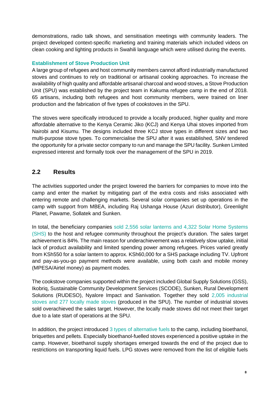demonstrations, radio talk shows, and sensitisation meetings with community leaders. The project developed context-specific marketing and training materials which included videos on clean cooking and lighting products in Swahili language which were utilised during the events.

## **Establishment of Stove Production Unit**

A large group of refugees and host community members cannot afford industrially manufactured stoves and continues to rely on traditional or artisanal cooking approaches. To increase the availability of high quality and affordable artisanal charcoal and wood stoves, a Stove Production Unit (SPU) was established by the project team in Kakuma refugee camp in the end of 2018. 65 artisans, including both refugees and host community members, were trained on liner production and the fabrication of five types of cookstoves in the SPU.

The stoves were specifically introduced to provide a locally produced, higher quality and more affordable alternative to the Kenya Ceramic Jiko (KCJ) and Kenya Uhai stoves imported from Nairobi and Kisumu. The designs included three KCJ stove types in different sizes and two multi-purpose stove types. To commercialise the SPU after it was established, SNV tendered the opportunity for a private sector company to run and manage the SPU facility. Sunken Limited expressed interest and formally took over the management of the SPU in 2019.

## <span id="page-7-0"></span>**2.2 Results**

The activities supported under the project lowered the barriers for companies to move into the camp and enter the market by mitigating part of the extra costs and risks associated with entering remote and challenging markets. Several solar companies set up operations in the camp with support from MBEA, including Raj Ushanga House (Azuri distributor), Greenlight Planet, Pawame, Sollatek and Sunken.

In total, the beneficiary companies sold 2,556 solar lanterns and 4,322 Solar Home Systems (SHS) to the host and refugee community throughout the project's duration. The sales target achievement is 84%. The main reason for underachievement was a relatively slow uptake, initial lack of product availability and limited spending power among refugees. Prices varied greatly from KSh550 for a solar lantern to approx. KSh60,000 for a SHS package including TV. Upfront and pay-as-you-go payment methods were available, using both cash and mobile money (MPESA/Airtel money) as payment modes.

The cookstove companies supported within the project included Global Supply Solutions (GSS), Ikobriq, Sustainable Community Development Services (SCODE), Sunken, Rural Development Solutions (RUDESO), Nyalore Impact and Sanivation. Together they sold 2,005 industrial stoves and 277 locally made stoves (produced in the SPU). The number of industrial stoves sold overachieved the sales target. However, the locally made stoves did not meet their target due to a late start of operations at the SPU.

In addition, the project introduced 3 types of alternative fuels to the camp, including bioethanol, briquettes and pellets. Especially bioethanol-fuelled stoves experienced a positive uptake in the camp. However, bioethanol supply shortages emerged towards the end of the project due to restrictions on transporting liquid fuels. LPG stoves were removed from the list of eligible fuels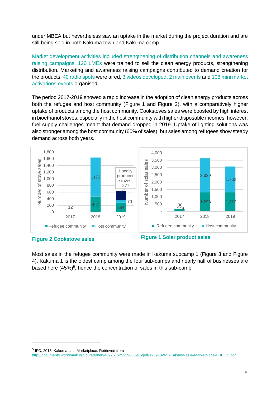under MBEA but nevertheless saw an uptake in the market during the project duration and are still being sold in both Kakuma town and Kakuma camp.

Market development activities included strengthening of distribution channels and awareness raising campaigns. 120 LMEs were trained to sell the clean energy products, strengthening distribution. Marketing and awareness raising campaigns contributed to demand creation for the products. 40 radio spots were aired, 3 videos developed, 2 main events and 108 mini market activations events organised.

The period 2017-2019 showed a rapid increase in the adoption of clean energy products across both the refugee and host community (Figure 1 and Figure 2), with a comparatively higher uptake of products among the host community. Cookstoves sales were boosted by high interest in bioethanol stoves, especially in the host community with higher disposable incomes; however, fuel supply challenges meant that demand dropped in 2019. Uptake of lighting solutions was also stronger among the host community (60% of sales), but sales among refugees show steady demand across both years.





Most sales in the refugee community were made in Kakuma subcamp 1 (Figure 3 and Figure 4). Kakuma 1 is the oldest camp among the four sub-camps and nearly half of businesses are based here (45%)<sup>5</sup>, hence the concentration of sales in this sub-camp.

<sup>&</sup>lt;sup>5</sup> IFC, 2018. Kakuma as a Marketplace. Retrieved from <http://documents.worldbank.org/curated/en/482761525339883916/pdf/125918-WP-Kakuma-as-a-Marketplace-PUBLIC.pdf>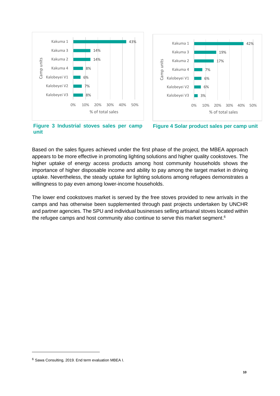



**Figure 3: Industrial stoves sales per camp Figure 4 Solar product sales per camp unit unit**

Based on the sales figures achieved under the first phase of the project, the MBEA approach appears to be more effective in promoting lighting solutions and higher quality cookstoves. The higher uptake of energy access products among host community households shows the importance of higher disposable income and ability to pay among the target market in driving uptake. Nevertheless, the steady uptake for lighting solutions among refugees demonstrates a willingness to pay even among lower-income households.

The lower end cookstoves market is served by the free stoves provided to new arrivals in the camps and has otherwise been supplemented through past projects undertaken by UNCHR and partner agencies. The SPU and individual businesses selling artisanal stoves located within the refugee camps and host community also continue to serve this market segment.<sup>6</sup>

<sup>6</sup> Sawa Consulting, 2019. End term evaluation MBEA I.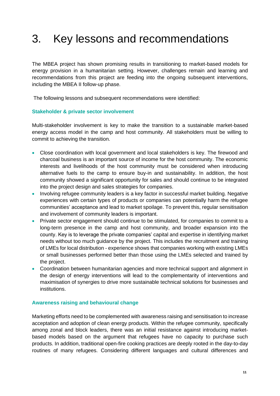## <span id="page-10-0"></span>3. Key lessons and recommendations

The MBEA project has shown promising results in transitioning to market-based models for energy provision in a humanitarian setting. However, challenges remain and learning and recommendations from this project are feeding into the ongoing subsequent interventions, including the MBEA II follow-up phase.

The following lessons and subsequent recommendations were identified:

#### **Stakeholder & private sector involvement**

Multi-stakeholder involvement is key to make the transition to a sustainable market-based energy access model in the camp and host community. All stakeholders must be willing to commit to achieving the transition.

- Close coordination with local government and local stakeholders is key. The firewood and charcoal business is an important source of income for the host community. The economic interests and livelihoods of the host community must be considered when introducing alternative fuels to the camp to ensure buy-in and sustainability. In addition, the host community showed a significant opportunity for sales and should continue to be integrated into the project design and sales strategies for companies.
- Involving refugee community leaders is a key factor in successful market building. Negative experiences with certain types of products or companies can potentially harm the refugee communities' acceptance and lead to market spoilage. To prevent this, regular sensitisation and involvement of community leaders is important.
- Private sector engagement should continue to be stimulated, for companies to commit to a long-term presence in the camp and host community, and broader expansion into the county. Key is to leverage the private companies' capital and expertise in identifying market needs without too much guidance by the project. This includes the recruitment and training of LMEs for local distribution - experience shows that companies working with existing LMEs or small businesses performed better than those using the LMEs selected and trained by the project.
- Coordination between humanitarian agencies and more technical support and alignment in the design of energy interventions will lead to the complementarity of interventions and maximisation of synergies to drive more sustainable technical solutions for businesses and institutions.

### **Awareness raising and behavioural change**

Marketing efforts need to be complemented with awareness raising and sensitisation to increase acceptation and adoption of clean energy products. Within the refugee community, specifically among zonal and block leaders, there was an initial resistance against introducing marketbased models based on the argument that refugees have no capacity to purchase such products. In addition, traditional open-fire cooking practices are deeply rooted in the day-to-day routines of many refugees. Considering different languages and cultural differences and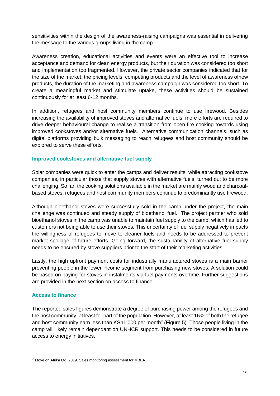sensitivities within the design of the awareness-raising campaigns was essential in delivering the message to the various groups living in the camp.

Awareness creation, educational activities and events were an effective tool to increase acceptance and demand for clean energy products, but their duration was considered too short and implementation too fragmented. However, the private sector companies indicated that for the size of the market, the pricing levels, competing products and the level of awareness ofnew products, the duration of the marketing and awareness campaign was considered too short. To create a meaningful market and stimulate uptake, these activities should be sustained continuously for at least 6-12 months.

In addition, refugees and host community members continue to use firewood. Besides increasing the availability of improved stoves and alternative fuels, more efforts are required to drive deeper behavioural change to realise a transition from open-fire cooking towards using improved cookstoves and/or alternative fuels. Alternative communication channels, such as digital platforms providing bulk messaging to reach refugees and host community should be explored to serve these efforts.

### **Improved cookstoves and alternative fuel supply**

Solar companies were quick to enter the camps and deliver results, while attracting cookstove companies, in particular those that supply stoves with alternative fuels, turned out to be more challenging. So far, the cooking solutions available in the market are mainly wood and charcoalbased stoves; refugees and host community members continue to predominantly use firewood.

Although bioethanol stoves were successfully sold in the camp under the project, the main challenge was continued and steady supply of bioethanol fuel. The project partner who sold bioethanol stoves in the camp was unable to maintain fuel supply to the camp, which has led to customers not being able to use their stoves. This uncertainty of fuel supply negatively impacts the willingness of refugees to move to cleaner fuels and needs to be addressed to prevent market spoilage of future efforts. Going forward, the sustainability of alternative fuel supply needs to be ensured by stove suppliers prior to the start of their marketing activities.

Lastly, the high upfront payment costs for industrially manufactured stoves is a main barrier preventing people in the lower income segment from purchasing new stoves. A solution could be based on paying for stoves in instalments via fuel payments overtime. Further suggestions are provided in the next section on access to finance.

## **Access to finance**

The reported sales figures demonstrate a degree of purchasing power among the refugees and the host community, at least for part of the population. However, at least 16% of both the refugee and host community earn less than KSh1,000 per month<sup>7</sup> [\(Figure](#page-12-0) 5). Those people living in the camp will likely remain dependant on UNHCR support. This needs to be considered in future access to energy initiatives.

<sup>7</sup> Move on Afrika Ltd. 2019. Sales monitoring assessment for MBEA.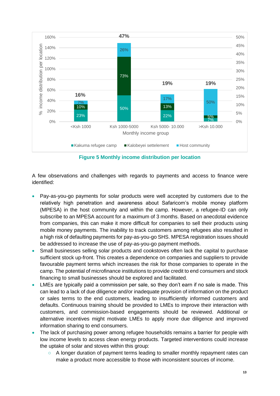

**Figure 5 Monthly income distribution per location**

<span id="page-12-0"></span>A few observations and challenges with regards to payments and access to finance were identified:

- Pay-as-you-go payments for solar products were well accepted by customers due to the relatively high penetration and awareness about Safaricom's mobile money platform (MPESA) in the host community and within the camp. However, a refugee-ID can only subscribe to an MPESA account for a maximum of 3 months. Based on anecdotal evidence from companies, this can make it more difficult for companies to sell their products using mobile money payments. The inability to track customers among refugees also resulted in a high risk of defaulting payments for pay-as-you-go SHS. MPESA registration issues should be addressed to increase the use of pay-as-you-go payment methods.
- Small businesses selling solar products and cookstoves often lack the capital to purchase sufficient stock up-front. This creates a dependence on companies and suppliers to provide favourable payment terms which increases the risk for those companies to operate in the camp. The potential of microfinance institutions to provide credit to end consumers and stock financing to small businesses should be explored and facilitated.
- LMEs are typically paid a commission per sale, so they don't earn if no sale is made. This can lead to a lack of due diligence and/or inadequate provision of information on the product or sales terms to the end customers, leading to insufficiently informed customers and defaults. Continuous training should be provided to LMEs to improve their interaction with customers, and commission-based engagements should be reviewed. Additional or alternative incentives might motivate LMEs to apply more due diligence and improved information sharing to end consumers.
- The lack of purchasing power among refugee households remains a barrier for people with low income levels to access clean energy products. Targeted interventions could increase the uptake of solar and stoves within this group:
	- A longer duration of payment terms leading to smaller monthly repayment rates can make a product more accessible to those with inconsistent sources of income.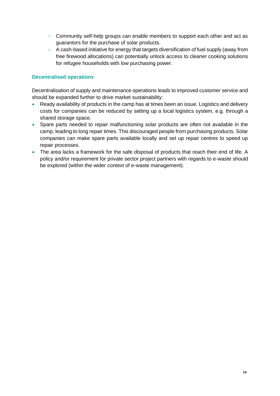- Community self-help groups can enable members to support each other and act as guarantors for the purchase of solar products.
- A cash-based initiative for energy that targets diversification of fuel supply (away from free firewood allocations) can potentially unlock access to cleaner cooking solutions for refugee households with low purchasing power.

### **Decentralised operations**

Decentralisation of supply and maintenance operations leads to improved customer service and should be expanded further to drive market sustainability:

- Ready availability of products in the camp has at times been an issue. Logistics and delivery costs for companies can be reduced by setting up a local logistics system, e.g. through a shared storage space.
- Spare parts needed to repair malfunctioning solar products are often not available in the camp, leading to long repair times. This discouraged people from purchasing products. Solar companies can make spare parts available locally and set up repair centres to speed up repair processes.
- The area lacks a framework for the safe disposal of products that reach their end of life. A policy and/or requirement for private sector project partners with regards to e-waste should be explored (within the wider context of e-waste management).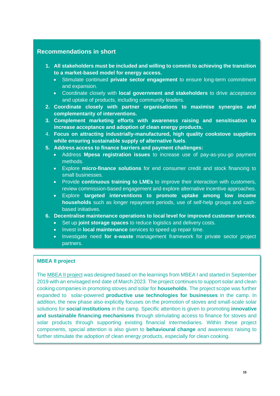## **Recommendations in short**

- **1. All stakeholders must be included and willing to commit to achieving the transition to a market-based model for energy access.**
	- Stimulate continued **private sector engagement** to ensure long-term commitment and expansion.
	- Coordinate closely with **local government and stakeholders** to drive acceptance and uptake of products, including community leaders.
- **2. Coordinate closely with partner organisations to maximise synergies and complementarity of interventions.**
- **3. Complement marketing efforts with awareness raising and sensitisation to increase acceptance and adoption of clean energy products.**
- 4. **Focus on attracting industrially-manufactured, high quality cookstove suppliers while ensuring sustainable supply of alternative fuels**.
- **5. Address access to finance barriers and payment challenges:**
	- Address **Mpesa registration issues** to increase use of pay-as-you-go payment methods.
	- Explore **micro-finance solutions** for end consumer credit and stock financing to small businesses.
	- Provide **continuous training to LMEs** to improve their interaction with customers, review commission-based engagement and explore alternative incentive approaches.
	- Explore **targeted interventions to promote uptake among low income households** such as longer repayment periods, use of self-help groups and cashbased initiatives.
- **6. Decentralise maintenance operations to local level for improved customer service.** 
	- Set up **joint storage spaces** to reduce logistics and delivery costs.
	- Invest in **local maintenance** services to speed up repair time.
	- Investigate need **for e-waste** management framework for private sector project partners.

### **MBEA II project**

The [MBEA II project](https://snv.org/project/market-based-energy-access-mbea-ii) was designed based on the learnings from MBEA I and started in September 2019 with an envisaged end date of March 2023. The project continues to support solar and clean cooking companies in promoting stoves and solar for **households**. The project scope was further expanded to solar-powered **productive use technologies for businesses** in the camp. In addition, the new phase also explicitly focuses on the promotion of stoves and small-scale solar solutions for **social institutions** in the camp. Specific attention is given to promoting **innovative and sustainable financing mechanisms** through stimulating access to finance for stoves and solar products through supporting existing financial intermediaries. Within these project components, special attention is also given to **behavioural change** and awareness raising to further stimulate the adoption of clean energy products, especially for clean cooking.